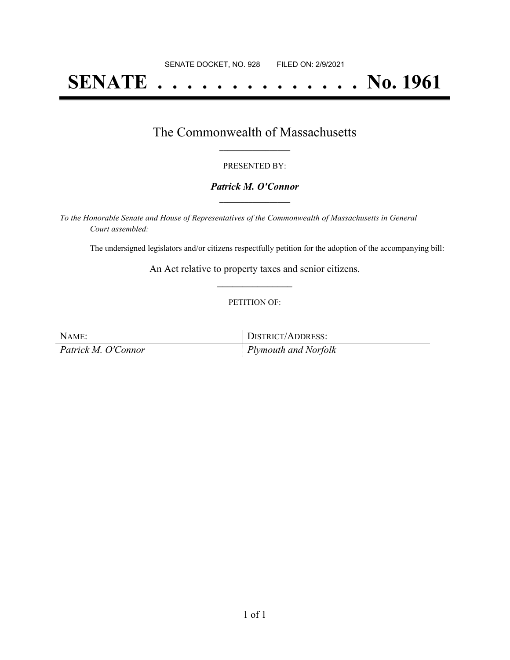# **SENATE . . . . . . . . . . . . . . No. 1961**

### The Commonwealth of Massachusetts **\_\_\_\_\_\_\_\_\_\_\_\_\_\_\_\_\_**

#### PRESENTED BY:

#### *Patrick M. O'Connor* **\_\_\_\_\_\_\_\_\_\_\_\_\_\_\_\_\_**

*To the Honorable Senate and House of Representatives of the Commonwealth of Massachusetts in General Court assembled:*

The undersigned legislators and/or citizens respectfully petition for the adoption of the accompanying bill:

An Act relative to property taxes and senior citizens. **\_\_\_\_\_\_\_\_\_\_\_\_\_\_\_**

#### PETITION OF:

| NAME:               | DISTRICT/ADDRESS:            |
|---------------------|------------------------------|
| Patrick M. O'Connor | $\vert$ Plymouth and Norfolk |